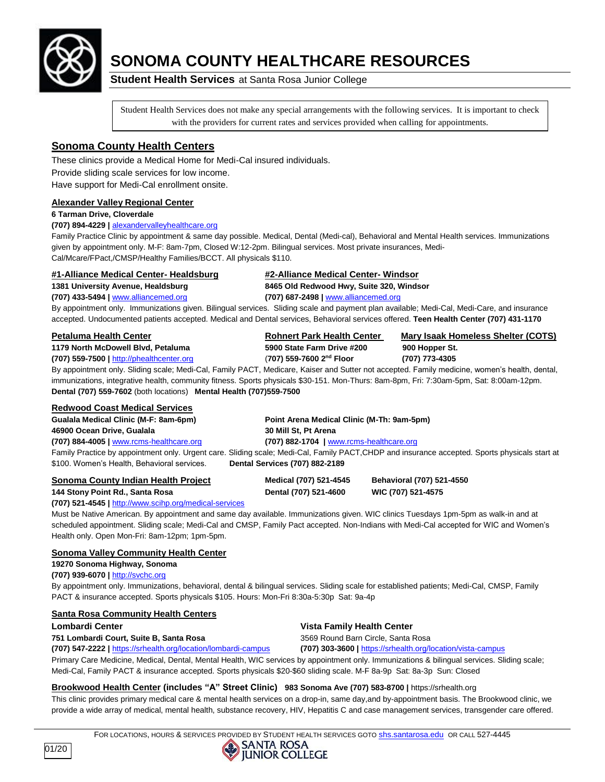

# **SONOMA COUNTY HEALTHCARE RESOURCES**

**Student Health Services** at Santa Rosa Junior College

Student Health Services does not make any special arrangements with the following services. It is important to check with the providers for current rates and services provided when calling for appointments.

# **Sonoma County Health Centers**

These clinics provide a Medical Home for Medi-Cal insured individuals. Provide sliding scale services for low income. Have support for Medi-Cal enrollment onsite.

#### **Alexander Valley Regional Center**

#### **6 Tarman Drive, Cloverdale**

#### **(707) 894-4229 |** [alexandervalleyhealthcare.org](http://alexandervalleyhealthcare.org/)

Family Practice Clinic by appointment & same day possible. Medical, Dental (Medi-cal), Behavioral and Mental Health services. Immunizations given by appointment only. M-F: 8am-7pm, Closed W:12-2pm. Bilingual services. Most private insurances, Medi-Cal/Mcare/FPact,/CMSP/Healthy Families/BCCT. All physicals \$110.

### **#1-Alliance Medical Center- Healdsburg #2-Alliance Medical Center- Windsor**

**1381 University Avenue, Healdsburg 8465 Old Redwood Hwy, Suite 320, Windsor**

**(707) 433-5494 |** [www.alliancemed.org](http://www.alliancemed.org/) **(707) 687-2498 |** [www.alliancemed.org](http://www.alliancemed.org/)

By appointment only. Immunizations given. Bilingual services. Sliding scale and payment plan available; Medi-Cal, Medi-Care, and insurance accepted. Undocumented patients accepted. Medical and Dental services, Behavioral services offered. **Teen Health Center (707) 431-1170**

#### **Petaluma Health Center Rohnert Park Health Center Mary Isaak Homeless Shelter (COTS)**

#### **1179 North McDowell Blvd, Petaluma 5900 State Farm Drive #200 900 Hopper St.**

**(707) 559-7500 |** [http://phealthcenter.org](http://phealthcenter.org/) (**707) 559-7600 2**

**nd Floor (707) 773-4305** By appointment only. Sliding scale; Medi-Cal, Family PACT, Medicare, Kaiser and Sutter not accepted. Family medicine, women's health, dental, immunizations, integrative health, community fitness. Sports physicals \$30-151. Mon-Thurs: 8am-8pm, Fri: 7:30am-5pm, Sat: 8:00am-12pm. **Dental (707) 559-7602** (both locations) **Mental Health (707)559-7500** 

#### **Redwood Coast Medical Services**

| Gualala Medical Clinic (M-F: 8am-6pm)       | Point Arena Medical Clinic (M-Th: 9am-5pm)                                                                                                     |
|---------------------------------------------|------------------------------------------------------------------------------------------------------------------------------------------------|
| 46900 Ocean Drive, Gualala                  | 30 Mill St. Pt Arena                                                                                                                           |
| $(707)$ 884-4005   www.rcms-healthcare.org  | $(707)$ 882-1704   www.rcms-healthcare.org                                                                                                     |
|                                             | Family Practice by appointment only. Urgent care. Sliding scale; Medi-Cal, Family PACT, CHDP and insurance accepted. Sports physicals start at |
| \$100. Women's Health, Behavioral services. | <b>Dental Services (707) 882-2189</b>                                                                                                          |
|                                             |                                                                                                                                                |

| Sonoma County Indian Health Project | Medical (707) 521-4545 |
|-------------------------------------|------------------------|
| 144 Stony Point Rd Santa Rosa       | Dental (707) 521-4600  |

#### **(707) 521-4545 |** <http://www.scihp.org/medical-services>

Must be Native American. By appointment and same day available. Immunizations given. WIC clinics Tuesdays 1pm-5pm as walk-in and at scheduled appointment. Sliding scale; Medi-Cal and CMSP, Family Pact accepted. Non-Indians with Medi-Cal accepted for WIC and Women's Health only. Open Mon-Fri: 8am-12pm; 1pm-5pm.

#### **Sonoma Valley Community Health Center**

**19270 Sonoma Highway, Sonoma** 

**(707) 939-6070 |** [http://svchc.org](http://svchc.org/) By appointment only. Immunizations, behavioral, dental & bilingual services. Sliding scale for established patients; Medi-Cal, CMSP, Family PACT & insurance accepted. Sports physicals \$105. Hours: Mon-Fri 8:30a-5:30p Sat: 9a-4p

### **Santa Rosa Community Health Centers**

#### **751 Lombardi Court, Suite B, Santa Rosa** 3569 Round Barn Circle, Santa Rosa

# **Lombardi Center Vista Family Health Center**

**(707) 547-2222 |** <https://srhealth.org/location/lombardi-campus> **(707) 303-3600 |** <https://srhealth.org/location/vista-campus>

**Sonoma County Indian Health Project Medical (707) 521-4545 Behavioral (707) 521-4550 144 Stony Point Rd., Santa Rosa Dental (707) 521-4600 WIC (707) 521-4575**

Primary Care Medicine, Medical, Dental, Mental Health, WIC services by appointment only. Immunizations & bilingual services. Sliding scale; Medi-Cal, Family PACT & insurance accepted. Sports physicals \$20-\$60 sliding scale. M-F 8a-9p Sat: 8a-3p Sun: Closed

### **Brookwood Health Center (includes "A" Street Clinic) 983 Sonoma Ave (707) 583-8700 |** https://srhealth.org

This clinic provides primary medical care & mental health services on a drop-in, same day,and by-appointment basis. The Brookwood clinic, we provide a wide array of medical, mental health, substance recovery, HIV, Hepatitis C and case management services, transgender care offered.